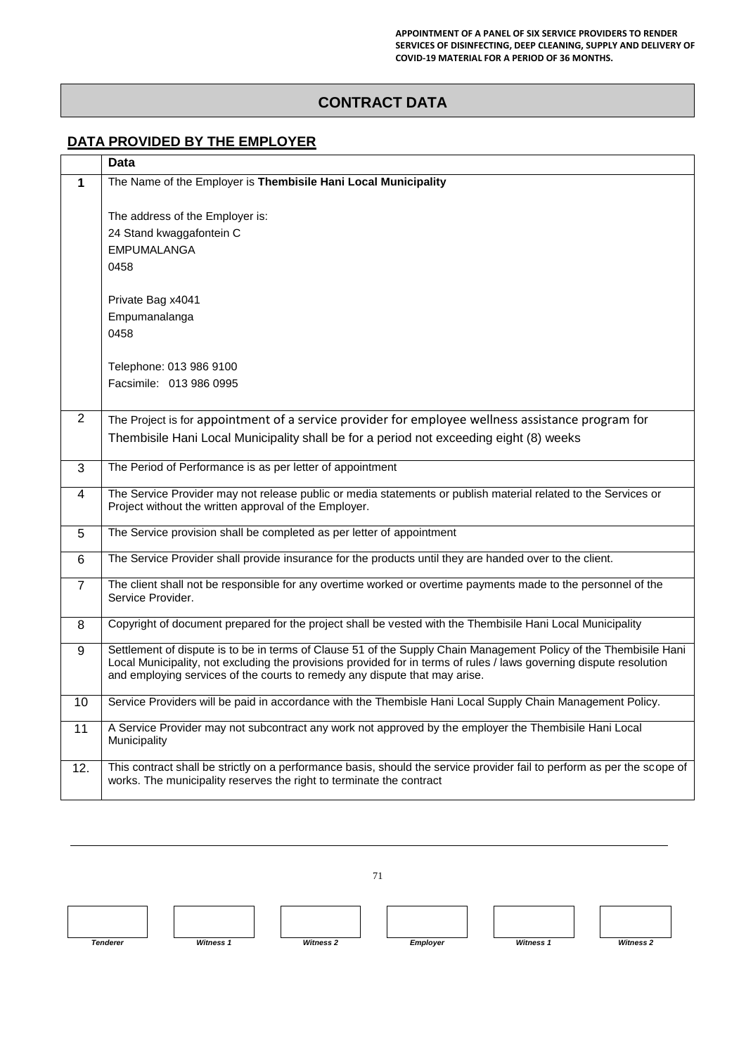## **CONTRACT DATA**

## **DATA PROVIDED BY THE EMPLOYER**

|                | Data                                                                                                                                                                                              |  |  |
|----------------|---------------------------------------------------------------------------------------------------------------------------------------------------------------------------------------------------|--|--|
| 1              | The Name of the Employer is Thembisile Hani Local Municipality                                                                                                                                    |  |  |
|                |                                                                                                                                                                                                   |  |  |
|                | The address of the Employer is:                                                                                                                                                                   |  |  |
|                | 24 Stand kwaggafontein C                                                                                                                                                                          |  |  |
|                | <b>EMPUMALANGA</b><br>0458                                                                                                                                                                        |  |  |
|                |                                                                                                                                                                                                   |  |  |
|                | Private Bag x4041                                                                                                                                                                                 |  |  |
|                | Empumanalanga                                                                                                                                                                                     |  |  |
|                | 0458                                                                                                                                                                                              |  |  |
|                |                                                                                                                                                                                                   |  |  |
|                | Telephone: 013 986 9100<br>Facsimile: 013 986 0995                                                                                                                                                |  |  |
|                |                                                                                                                                                                                                   |  |  |
| $\overline{2}$ | The Project is for appointment of a service provider for employee wellness assistance program for                                                                                                 |  |  |
|                | Thembisile Hani Local Municipality shall be for a period not exceeding eight (8) weeks                                                                                                            |  |  |
|                |                                                                                                                                                                                                   |  |  |
| 3              | The Period of Performance is as per letter of appointment                                                                                                                                         |  |  |
| 4              | The Service Provider may not release public or media statements or publish material related to the Services or<br>Project without the written approval of the Employer.                           |  |  |
|                |                                                                                                                                                                                                   |  |  |
| 5              | The Service provision shall be completed as per letter of appointment                                                                                                                             |  |  |
| 6              | The Service Provider shall provide insurance for the products until they are handed over to the client.                                                                                           |  |  |
| $\overline{7}$ | The client shall not be responsible for any overtime worked or overtime payments made to the personnel of the                                                                                     |  |  |
|                | Service Provider.                                                                                                                                                                                 |  |  |
| 8              | Copyright of document prepared for the project shall be vested with the Thembisile Hani Local Municipality                                                                                        |  |  |
| 9              | Settlement of dispute is to be in terms of Clause 51 of the Supply Chain Management Policy of the Thembisile Hani                                                                                 |  |  |
|                | Local Municipality, not excluding the provisions provided for in terms of rules / laws governing dispute resolution<br>and employing services of the courts to remedy any dispute that may arise. |  |  |
|                |                                                                                                                                                                                                   |  |  |
| 10             | Service Providers will be paid in accordance with the Thembisle Hani Local Supply Chain Management Policy.                                                                                        |  |  |
| 11             | A Service Provider may not subcontract any work not approved by the employer the Thembisile Hani Local<br>Municipality                                                                            |  |  |
|                |                                                                                                                                                                                                   |  |  |
| 12.            | This contract shall be strictly on a performance basis, should the service provider fail to perform as per the scope of                                                                           |  |  |
|                | works. The municipality reserves the right to terminate the contract                                                                                                                              |  |  |

71